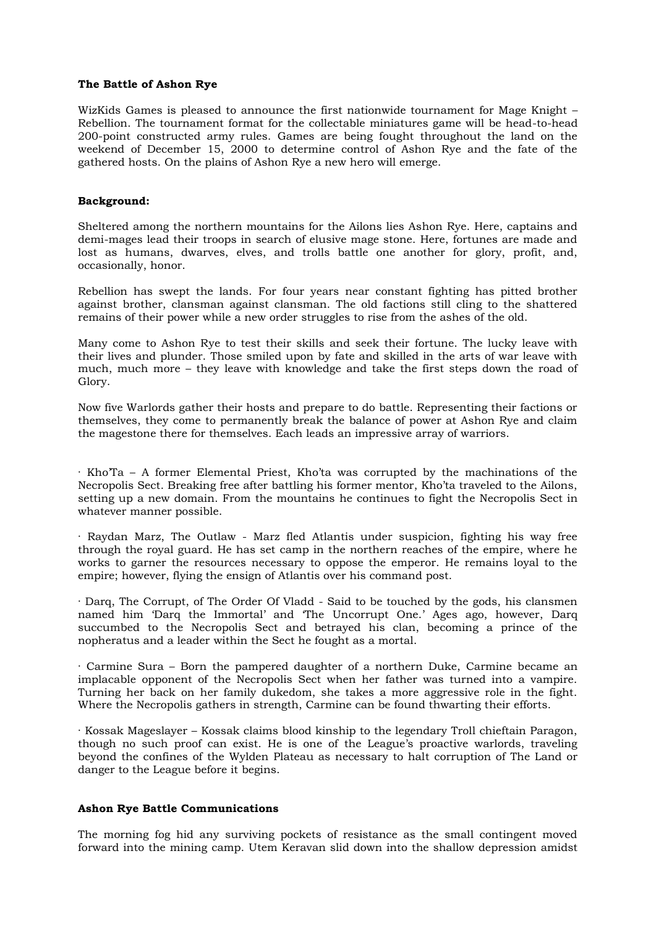## **The Battle of Ashon Rye**

WizKids Games is pleased to announce the first nationwide tournament for Mage Knight – Rebellion. The tournament format for the collectable miniatures game will be head-to-head 200-point constructed army rules. Games are being fought throughout the land on the weekend of December 15, 2000 to determine control of Ashon Rye and the fate of the gathered hosts. On the plains of Ashon Rye a new hero will emerge.

# **Background:**

Sheltered among the northern mountains for the Ailons lies Ashon Rye. Here, captains and demi-mages lead their troops in search of elusive mage stone. Here, fortunes are made and lost as humans, dwarves, elves, and trolls battle one another for glory, profit, and, occasionally, honor.

Rebellion has swept the lands. For four years near constant fighting has pitted brother against brother, clansman against clansman. The old factions still cling to the shattered remains of their power while a new order struggles to rise from the ashes of the old.

Many come to Ashon Rye to test their skills and seek their fortune. The lucky leave with their lives and plunder. Those smiled upon by fate and skilled in the arts of war leave with much, much more – they leave with knowledge and take the first steps down the road of Glory.

Now five Warlords gather their hosts and prepare to do battle. Representing their factions or themselves, they come to permanently break the balance of power at Ashon Rye and claim the magestone there for themselves. Each leads an impressive array of warriors.

· Kho'Ta – A former Elemental Priest, Kho'ta was corrupted by the machinations of the Necropolis Sect. Breaking free after battling his former mentor, Kho'ta traveled to the Ailons, setting up a new domain. From the mountains he continues to fight the Necropolis Sect in whatever manner possible.

· Raydan Marz, The Outlaw - Marz fled Atlantis under suspicion, fighting his way free through the royal guard. He has set camp in the northern reaches of the empire, where he works to garner the resources necessary to oppose the emperor. He remains loyal to the empire; however, flying the ensign of Atlantis over his command post.

· Darq, The Corrupt, of The Order Of Vladd - Said to be touched by the gods, his clansmen named him 'Darq the Immortal' and 'The Uncorrupt One.' Ages ago, however, Darq succumbed to the Necropolis Sect and betrayed his clan, becoming a prince of the nopheratus and a leader within the Sect he fought as a mortal.

· Carmine Sura – Born the pampered daughter of a northern Duke, Carmine became an implacable opponent of the Necropolis Sect when her father was turned into a vampire. Turning her back on her family dukedom, she takes a more aggressive role in the fight. Where the Necropolis gathers in strength, Carmine can be found thwarting their efforts.

· Kossak Mageslayer – Kossak claims blood kinship to the legendary Troll chieftain Paragon, though no such proof can exist. He is one of the League's proactive warlords, traveling beyond the confines of the Wylden Plateau as necessary to halt corruption of The Land or danger to the League before it begins.

### **Ashon Rye Battle Communications**

The morning fog hid any surviving pockets of resistance as the small contingent moved forward into the mining camp. Utem Keravan slid down into the shallow depression amidst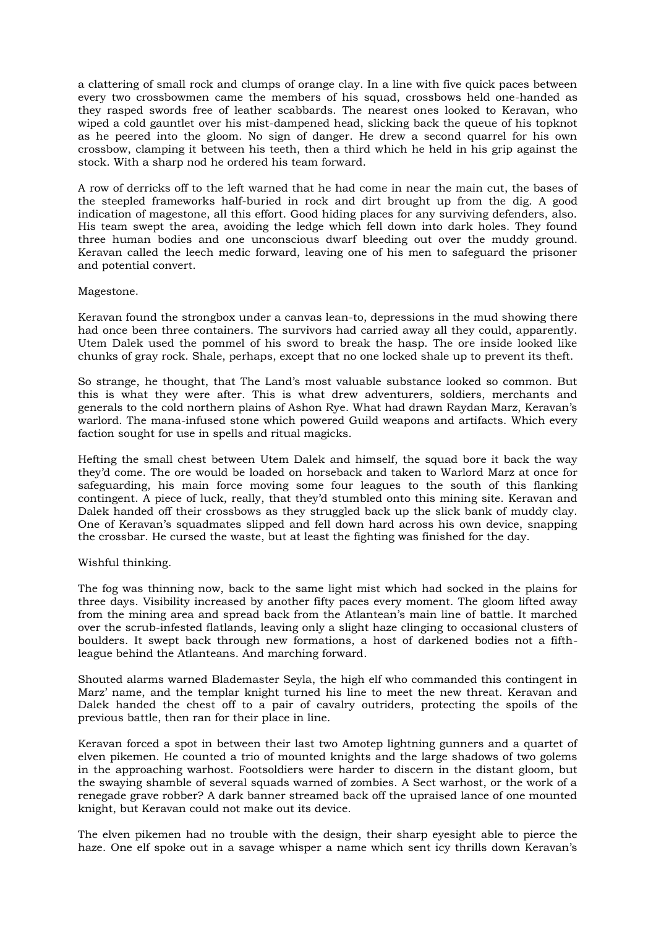a clattering of small rock and clumps of orange clay. In a line with five quick paces between every two crossbowmen came the members of his squad, crossbows held one-handed as they rasped swords free of leather scabbards. The nearest ones looked to Keravan, who wiped a cold gauntlet over his mist-dampened head, slicking back the queue of his topknot as he peered into the gloom. No sign of danger. He drew a second quarrel for his own crossbow, clamping it between his teeth, then a third which he held in his grip against the stock. With a sharp nod he ordered his team forward.

A row of derricks off to the left warned that he had come in near the main cut, the bases of the steepled frameworks half-buried in rock and dirt brought up from the dig. A good indication of magestone, all this effort. Good hiding places for any surviving defenders, also. His team swept the area, avoiding the ledge which fell down into dark holes. They found three human bodies and one unconscious dwarf bleeding out over the muddy ground. Keravan called the leech medic forward, leaving one of his men to safeguard the prisoner and potential convert.

# Magestone.

Keravan found the strongbox under a canvas lean-to, depressions in the mud showing there had once been three containers. The survivors had carried away all they could, apparently. Utem Dalek used the pommel of his sword to break the hasp. The ore inside looked like chunks of gray rock. Shale, perhaps, except that no one locked shale up to prevent its theft.

So strange, he thought, that The Land's most valuable substance looked so common. But this is what they were after. This is what drew adventurers, soldiers, merchants and generals to the cold northern plains of Ashon Rye. What had drawn Raydan Marz, Keravan's warlord. The mana-infused stone which powered Guild weapons and artifacts. Which every faction sought for use in spells and ritual magicks.

Hefting the small chest between Utem Dalek and himself, the squad bore it back the way they'd come. The ore would be loaded on horseback and taken to Warlord Marz at once for safeguarding, his main force moving some four leagues to the south of this flanking contingent. A piece of luck, really, that they'd stumbled onto this mining site. Keravan and Dalek handed off their crossbows as they struggled back up the slick bank of muddy clay. One of Keravan's squadmates slipped and fell down hard across his own device, snapping the crossbar. He cursed the waste, but at least the fighting was finished for the day.

# Wishful thinking.

The fog was thinning now, back to the same light mist which had socked in the plains for three days. Visibility increased by another fifty paces every moment. The gloom lifted away from the mining area and spread back from the Atlantean's main line of battle. It marched over the scrub-infested flatlands, leaving only a slight haze clinging to occasional clusters of boulders. It swept back through new formations, a host of darkened bodies not a fifthleague behind the Atlanteans. And marching forward.

Shouted alarms warned Blademaster Seyla, the high elf who commanded this contingent in Marz' name, and the templar knight turned his line to meet the new threat. Keravan and Dalek handed the chest off to a pair of cavalry outriders, protecting the spoils of the previous battle, then ran for their place in line.

Keravan forced a spot in between their last two Amotep lightning gunners and a quartet of elven pikemen. He counted a trio of mounted knights and the large shadows of two golems in the approaching warhost. Footsoldiers were harder to discern in the distant gloom, but the swaying shamble of several squads warned of zombies. A Sect warhost, or the work of a renegade grave robber? A dark banner streamed back off the upraised lance of one mounted knight, but Keravan could not make out its device.

The elven pikemen had no trouble with the design, their sharp eyesight able to pierce the haze. One elf spoke out in a savage whisper a name which sent icy thrills down Keravan's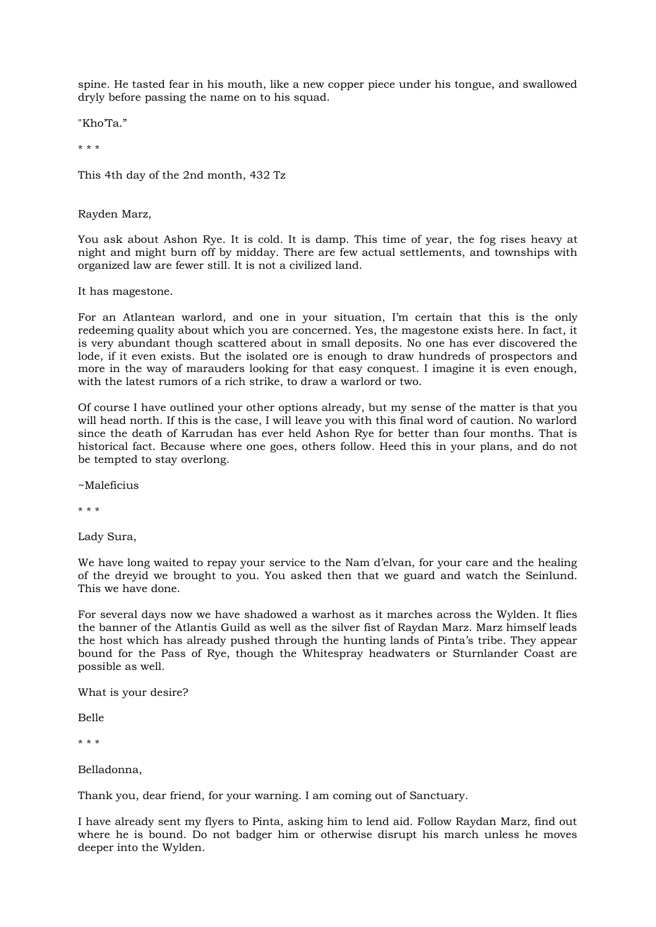spine. He tasted fear in his mouth, like a new copper piece under his tongue, and swallowed dryly before passing the name on to his squad.

"Kho'Ta."

\* \* \*

This 4th day of the 2nd month, 432 Tz

Rayden Marz,

You ask about Ashon Rye. It is cold. It is damp. This time of year, the fog rises heavy at night and might burn off by midday. There are few actual settlements, and townships with organized law are fewer still. It is not a civilized land.

It has magestone.

For an Atlantean warlord, and one in your situation, I'm certain that this is the only redeeming quality about which you are concerned. Yes, the magestone exists here. In fact, it is very abundant though scattered about in small deposits. No one has ever discovered the lode, if it even exists. But the isolated ore is enough to draw hundreds of prospectors and more in the way of marauders looking for that easy conquest. I imagine it is even enough, with the latest rumors of a rich strike, to draw a warlord or two.

Of course I have outlined your other options already, but my sense of the matter is that you will head north. If this is the case, I will leave you with this final word of caution. No warlord since the death of Karrudan has ever held Ashon Rye for better than four months. That is historical fact. Because where one goes, others follow. Heed this in your plans, and do not be tempted to stay overlong.

~Maleficius

\* \* \*

Lady Sura,

We have long waited to repay your service to the Nam d'elvan, for your care and the healing of the dreyid we brought to you. You asked then that we guard and watch the Seinlund. This we have done.

For several days now we have shadowed a warhost as it marches across the Wylden. It flies the banner of the Atlantis Guild as well as the silver fist of Raydan Marz. Marz himself leads the host which has already pushed through the hunting lands of Pinta's tribe. They appear bound for the Pass of Rye, though the Whitespray headwaters or Sturnlander Coast are possible as well.

What is your desire?

Belle

\* \* \*

Belladonna,

Thank you, dear friend, for your warning. I am coming out of Sanctuary.

I have already sent my flyers to Pinta, asking him to lend aid. Follow Raydan Marz, find out where he is bound. Do not badger him or otherwise disrupt his march unless he moves deeper into the Wylden.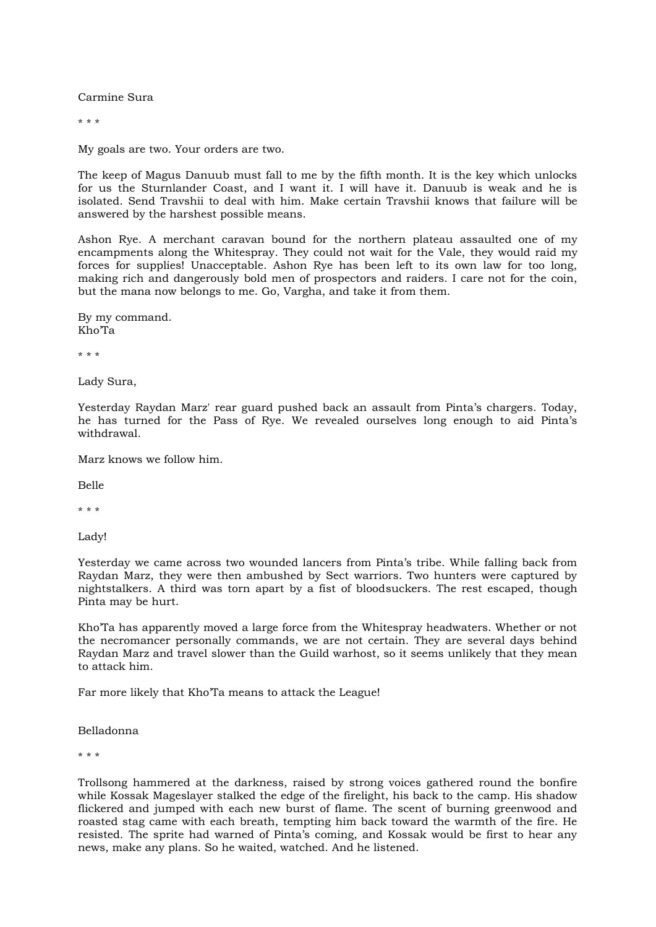Carmine Sura

\* \* \*

My goals are two. Your orders are two.

The keep of Magus Danuub must fall to me by the fifth month. It is the key which unlocks for us the Sturnlander Coast, and I want it. I will have it. Danuub is weak and he is isolated. Send Travshii to deal with him. Make certain Travshii knows that failure will be answered by the harshest possible means.

Ashon Rye. A merchant caravan bound for the northern plateau assaulted one of my encampments along the Whitespray. They could not wait for the Vale, they would raid my forces for supplies! Unacceptable. Ashon Rye has been left to its own law for too long, making rich and dangerously bold men of prospectors and raiders. I care not for the coin, but the mana now belongs to me. Go, Vargha, and take it from them.

By my command. Kho'Ta

\* \* \*

Lady Sura,

Yesterday Raydan Marz' rear guard pushed back an assault from Pinta's chargers. Today, he has turned for the Pass of Rye. We revealed ourselves long enough to aid Pinta's withdrawal.

Marz knows we follow him.

Belle

\* \* \*

Lady!

Yesterday we came across two wounded lancers from Pinta's tribe. While falling back from Raydan Marz, they were then ambushed by Sect warriors. Two hunters were captured by nightstalkers. A third was torn apart by a fist of bloodsuckers. The rest escaped, though Pinta may be hurt.

Kho'Ta has apparently moved a large force from the Whitespray headwaters. Whether or not the necromancer personally commands, we are not certain. They are several days behind Raydan Marz and travel slower than the Guild warhost, so it seems unlikely that they mean to attack him.

Far more likely that Kho'Ta means to attack the League!

Belladonna

\* \* \*

Trollsong hammered at the darkness, raised by strong voices gathered round the bonfire while Kossak Mageslayer stalked the edge of the firelight, his back to the camp. His shadow flickered and jumped with each new burst of flame. The scent of burning greenwood and roasted stag came with each breath, tempting him back toward the warmth of the fire. He resisted. The sprite had warned of Pinta's coming, and Kossak would be first to hear any news, make any plans. So he waited, watched. And he listened.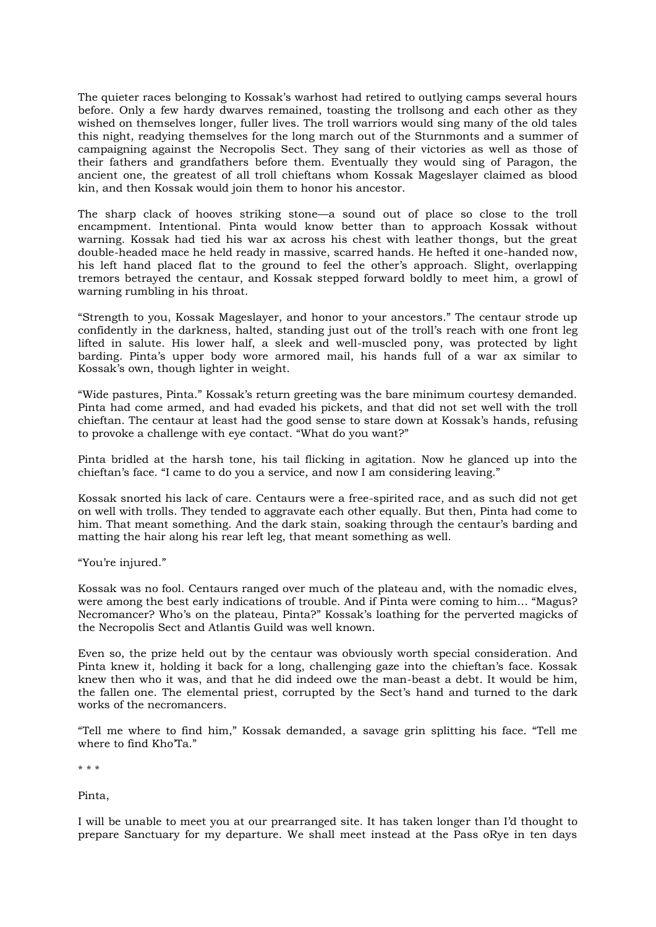The quieter races belonging to Kossak's warhost had retired to outlying camps several hours before. Only a few hardy dwarves remained, toasting the trollsong and each other as they wished on themselves longer, fuller lives. The troll warriors would sing many of the old tales this night, readying themselves for the long march out of the Sturnmonts and a summer of campaigning against the Necropolis Sect. They sang of their victories as well as those of their fathers and grandfathers before them. Eventually they would sing of Paragon, the ancient one, the greatest of all troll chieftans whom Kossak Mageslayer claimed as blood kin, and then Kossak would join them to honor his ancestor.

The sharp clack of hooves striking stone—a sound out of place so close to the troll encampment. Intentional. Pinta would know better than to approach Kossak without warning. Kossak had tied his war ax across his chest with leather thongs, but the great double-headed mace he held ready in massive, scarred hands. He hefted it one-handed now, his left hand placed flat to the ground to feel the other's approach. Slight, overlapping tremors betrayed the centaur, and Kossak stepped forward boldly to meet him, a growl of warning rumbling in his throat.

"Strength to you, Kossak Mageslayer, and honor to your ancestors." The centaur strode up confidently in the darkness, halted, standing just out of the troll's reach with one front leg lifted in salute. His lower half, a sleek and well-muscled pony, was protected by light barding. Pinta's upper body wore armored mail, his hands full of a war ax similar to Kossak's own, though lighter in weight.

"Wide pastures, Pinta." Kossak's return greeting was the bare minimum courtesy demanded. Pinta had come armed, and had evaded his pickets, and that did not set well with the troll chieftan. The centaur at least had the good sense to stare down at Kossak's hands, refusing to provoke a challenge with eye contact. "What do you want?"

Pinta bridled at the harsh tone, his tail flicking in agitation. Now he glanced up into the chieftan's face. "I came to do you a service, and now I am considering leaving."

Kossak snorted his lack of care. Centaurs were a free-spirited race, and as such did not get on well with trolls. They tended to aggravate each other equally. But then, Pinta had come to him. That meant something. And the dark stain, soaking through the centaur's barding and matting the hair along his rear left leg, that meant something as well.

"You're injured."

Kossak was no fool. Centaurs ranged over much of the plateau and, with the nomadic elves, were among the best early indications of trouble. And if Pinta were coming to him… "Magus? Necromancer? Who's on the plateau, Pinta?" Kossak's loathing for the perverted magicks of the Necropolis Sect and Atlantis Guild was well known.

Even so, the prize held out by the centaur was obviously worth special consideration. And Pinta knew it, holding it back for a long, challenging gaze into the chieftan's face. Kossak knew then who it was, and that he did indeed owe the man-beast a debt. It would be him, the fallen one. The elemental priest, corrupted by the Sect's hand and turned to the dark works of the necromancers.

"Tell me where to find him," Kossak demanded, a savage grin splitting his face. "Tell me where to find Kho'Ta."

\* \* \*

Pinta,

I will be unable to meet you at our prearranged site. It has taken longer than I'd thought to prepare Sanctuary for my departure. We shall meet instead at the Pass oRye in ten days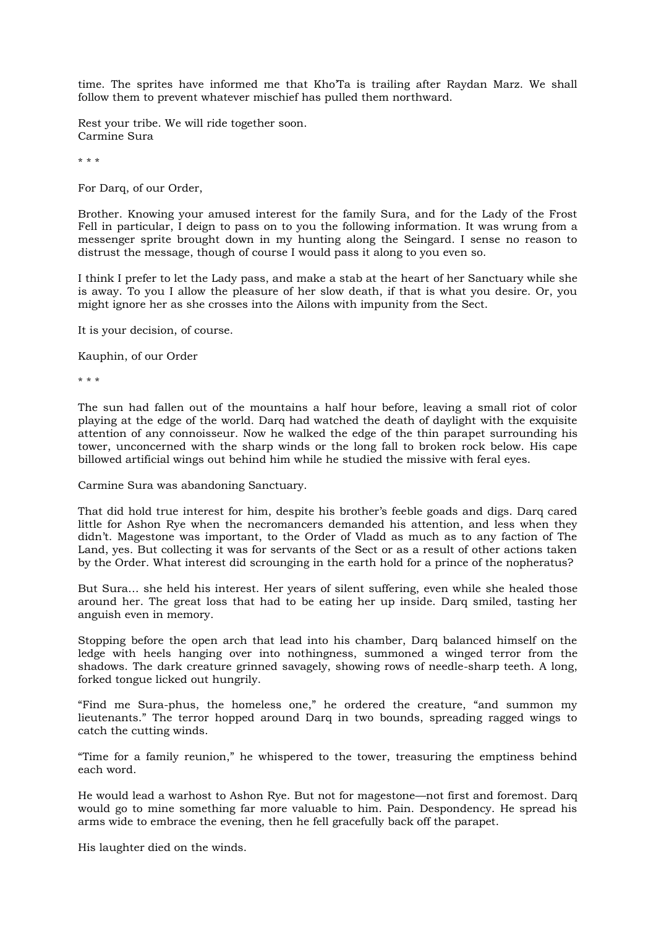time. The sprites have informed me that Kho'Ta is trailing after Raydan Marz. We shall follow them to prevent whatever mischief has pulled them northward.

Rest your tribe. We will ride together soon. Carmine Sura

\* \* \*

For Darq, of our Order,

Brother. Knowing your amused interest for the family Sura, and for the Lady of the Frost Fell in particular, I deign to pass on to you the following information. It was wrung from a messenger sprite brought down in my hunting along the Seingard. I sense no reason to distrust the message, though of course I would pass it along to you even so.

I think I prefer to let the Lady pass, and make a stab at the heart of her Sanctuary while she is away. To you I allow the pleasure of her slow death, if that is what you desire. Or, you might ignore her as she crosses into the Ailons with impunity from the Sect.

It is your decision, of course.

Kauphin, of our Order

\* \* \*

The sun had fallen out of the mountains a half hour before, leaving a small riot of color playing at the edge of the world. Darq had watched the death of daylight with the exquisite attention of any connoisseur. Now he walked the edge of the thin parapet surrounding his tower, unconcerned with the sharp winds or the long fall to broken rock below. His cape billowed artificial wings out behind him while he studied the missive with feral eyes.

Carmine Sura was abandoning Sanctuary.

That did hold true interest for him, despite his brother's feeble goads and digs. Darq cared little for Ashon Rye when the necromancers demanded his attention, and less when they didn't. Magestone was important, to the Order of Vladd as much as to any faction of The Land, yes. But collecting it was for servants of the Sect or as a result of other actions taken by the Order. What interest did scrounging in the earth hold for a prince of the nopheratus?

But Sura… she held his interest. Her years of silent suffering, even while she healed those around her. The great loss that had to be eating her up inside. Darq smiled, tasting her anguish even in memory.

Stopping before the open arch that lead into his chamber, Darq balanced himself on the ledge with heels hanging over into nothingness, summoned a winged terror from the shadows. The dark creature grinned savagely, showing rows of needle-sharp teeth. A long, forked tongue licked out hungrily.

"Find me Sura-phus, the homeless one," he ordered the creature, "and summon my lieutenants." The terror hopped around Darq in two bounds, spreading ragged wings to catch the cutting winds.

"Time for a family reunion," he whispered to the tower, treasuring the emptiness behind each word.

He would lead a warhost to Ashon Rye. But not for magestone—not first and foremost. Darq would go to mine something far more valuable to him. Pain. Despondency. He spread his arms wide to embrace the evening, then he fell gracefully back off the parapet.

His laughter died on the winds.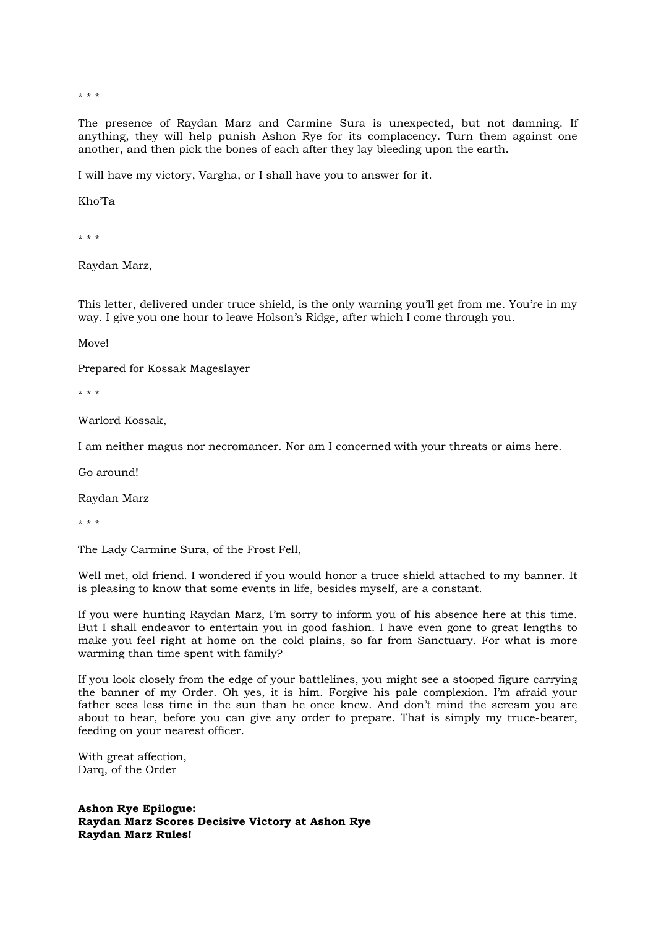\* \* \*

The presence of Raydan Marz and Carmine Sura is unexpected, but not damning. If anything, they will help punish Ashon Rye for its complacency. Turn them against one another, and then pick the bones of each after they lay bleeding upon the earth.

I will have my victory, Vargha, or I shall have you to answer for it.

Kho'Ta

\* \* \*

Raydan Marz,

This letter, delivered under truce shield, is the only warning you'll get from me. You're in my way. I give you one hour to leave Holson's Ridge, after which I come through you.

Move!

Prepared for Kossak Mageslayer

\* \* \*

Warlord Kossak,

I am neither magus nor necromancer. Nor am I concerned with your threats or aims here.

Go around!

Raydan Marz

\* \* \*

The Lady Carmine Sura, of the Frost Fell,

Well met, old friend. I wondered if you would honor a truce shield attached to my banner. It is pleasing to know that some events in life, besides myself, are a constant.

If you were hunting Raydan Marz, I'm sorry to inform you of his absence here at this time. But I shall endeavor to entertain you in good fashion. I have even gone to great lengths to make you feel right at home on the cold plains, so far from Sanctuary. For what is more warming than time spent with family?

If you look closely from the edge of your battlelines, you might see a stooped figure carrying the banner of my Order. Oh yes, it is him. Forgive his pale complexion. I'm afraid your father sees less time in the sun than he once knew. And don't mind the scream you are about to hear, before you can give any order to prepare. That is simply my truce-bearer, feeding on your nearest officer.

With great affection, Darq, of the Order

**Ashon Rye Epilogue: Raydan Marz Scores Decisive Victory at Ashon Rye Raydan Marz Rules!**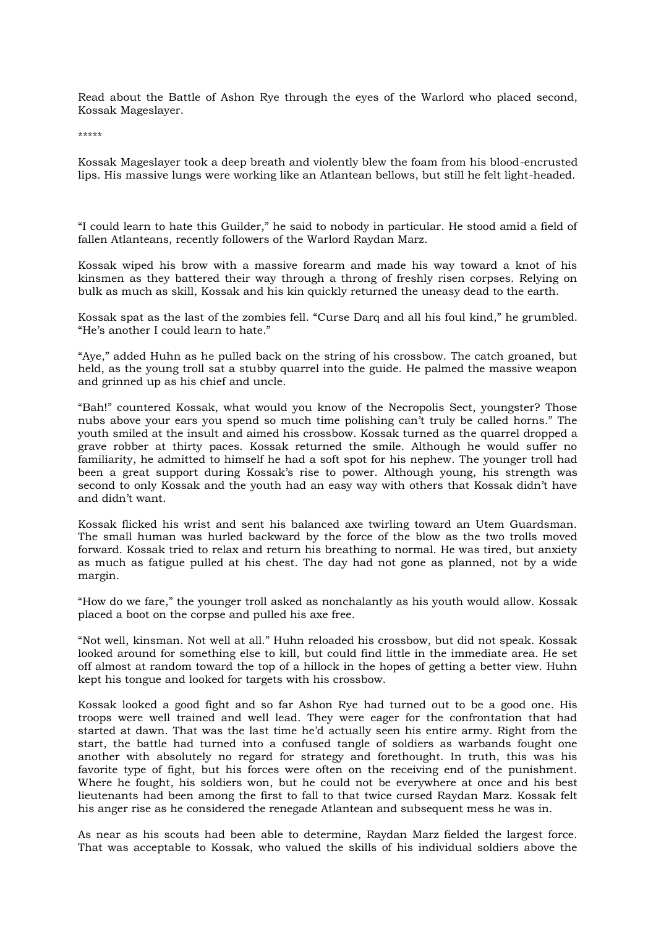Read about the Battle of Ashon Rye through the eyes of the Warlord who placed second, Kossak Mageslayer.

\*\*\*\*\*

Kossak Mageslayer took a deep breath and violently blew the foam from his blood-encrusted lips. His massive lungs were working like an Atlantean bellows, but still he felt light-headed.

"I could learn to hate this Guilder," he said to nobody in particular. He stood amid a field of fallen Atlanteans, recently followers of the Warlord Raydan Marz.

Kossak wiped his brow with a massive forearm and made his way toward a knot of his kinsmen as they battered their way through a throng of freshly risen corpses. Relying on bulk as much as skill, Kossak and his kin quickly returned the uneasy dead to the earth.

Kossak spat as the last of the zombies fell. "Curse Darq and all his foul kind," he grumbled. "He's another I could learn to hate."

"Aye," added Huhn as he pulled back on the string of his crossbow. The catch groaned, but held, as the young troll sat a stubby quarrel into the guide. He palmed the massive weapon and grinned up as his chief and uncle.

"Bah!" countered Kossak, what would you know of the Necropolis Sect, youngster? Those nubs above your ears you spend so much time polishing can't truly be called horns." The youth smiled at the insult and aimed his crossbow. Kossak turned as the quarrel dropped a grave robber at thirty paces. Kossak returned the smile. Although he would suffer no familiarity, he admitted to himself he had a soft spot for his nephew. The younger troll had been a great support during Kossak's rise to power. Although young, his strength was second to only Kossak and the youth had an easy way with others that Kossak didn't have and didn't want.

Kossak flicked his wrist and sent his balanced axe twirling toward an Utem Guardsman. The small human was hurled backward by the force of the blow as the two trolls moved forward. Kossak tried to relax and return his breathing to normal. He was tired, but anxiety as much as fatigue pulled at his chest. The day had not gone as planned, not by a wide margin.

"How do we fare," the younger troll asked as nonchalantly as his youth would allow. Kossak placed a boot on the corpse and pulled his axe free.

"Not well, kinsman. Not well at all." Huhn reloaded his crossbow, but did not speak. Kossak looked around for something else to kill, but could find little in the immediate area. He set off almost at random toward the top of a hillock in the hopes of getting a better view. Huhn kept his tongue and looked for targets with his crossbow.

Kossak looked a good fight and so far Ashon Rye had turned out to be a good one. His troops were well trained and well lead. They were eager for the confrontation that had started at dawn. That was the last time he'd actually seen his entire army. Right from the start, the battle had turned into a confused tangle of soldiers as warbands fought one another with absolutely no regard for strategy and forethought. In truth, this was his favorite type of fight, but his forces were often on the receiving end of the punishment. Where he fought, his soldiers won, but he could not be everywhere at once and his best lieutenants had been among the first to fall to that twice cursed Raydan Marz. Kossak felt his anger rise as he considered the renegade Atlantean and subsequent mess he was in.

As near as his scouts had been able to determine, Raydan Marz fielded the largest force. That was acceptable to Kossak, who valued the skills of his individual soldiers above the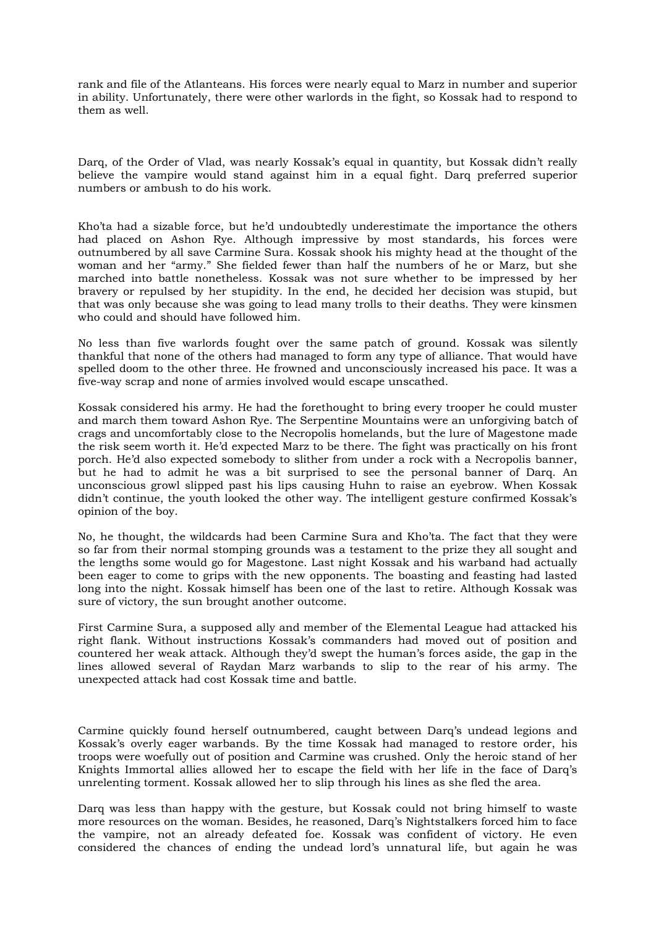rank and file of the Atlanteans. His forces were nearly equal to Marz in number and superior in ability. Unfortunately, there were other warlords in the fight, so Kossak had to respond to them as well.

Darq, of the Order of Vlad, was nearly Kossak's equal in quantity, but Kossak didn't really believe the vampire would stand against him in a equal fight. Darq preferred superior numbers or ambush to do his work.

Kho'ta had a sizable force, but he'd undoubtedly underestimate the importance the others had placed on Ashon Rye. Although impressive by most standards, his forces were outnumbered by all save Carmine Sura. Kossak shook his mighty head at the thought of the woman and her "army." She fielded fewer than half the numbers of he or Marz, but she marched into battle nonetheless. Kossak was not sure whether to be impressed by her bravery or repulsed by her stupidity. In the end, he decided her decision was stupid, but that was only because she was going to lead many trolls to their deaths. They were kinsmen who could and should have followed him.

No less than five warlords fought over the same patch of ground. Kossak was silently thankful that none of the others had managed to form any type of alliance. That would have spelled doom to the other three. He frowned and unconsciously increased his pace. It was a five-way scrap and none of armies involved would escape unscathed.

Kossak considered his army. He had the forethought to bring every trooper he could muster and march them toward Ashon Rye. The Serpentine Mountains were an unforgiving batch of crags and uncomfortably close to the Necropolis homelands, but the lure of Magestone made the risk seem worth it. He'd expected Marz to be there. The fight was practically on his front porch. He'd also expected somebody to slither from under a rock with a Necropolis banner, but he had to admit he was a bit surprised to see the personal banner of Darq. An unconscious growl slipped past his lips causing Huhn to raise an eyebrow. When Kossak didn't continue, the youth looked the other way. The intelligent gesture confirmed Kossak's opinion of the boy.

No, he thought, the wildcards had been Carmine Sura and Kho'ta. The fact that they were so far from their normal stomping grounds was a testament to the prize they all sought and the lengths some would go for Magestone. Last night Kossak and his warband had actually been eager to come to grips with the new opponents. The boasting and feasting had lasted long into the night. Kossak himself has been one of the last to retire. Although Kossak was sure of victory, the sun brought another outcome.

First Carmine Sura, a supposed ally and member of the Elemental League had attacked his right flank. Without instructions Kossak's commanders had moved out of position and countered her weak attack. Although they'd swept the human's forces aside, the gap in the lines allowed several of Raydan Marz warbands to slip to the rear of his army. The unexpected attack had cost Kossak time and battle.

Carmine quickly found herself outnumbered, caught between Darq's undead legions and Kossak's overly eager warbands. By the time Kossak had managed to restore order, his troops were woefully out of position and Carmine was crushed. Only the heroic stand of her Knights Immortal allies allowed her to escape the field with her life in the face of Darq's unrelenting torment. Kossak allowed her to slip through his lines as she fled the area.

Darq was less than happy with the gesture, but Kossak could not bring himself to waste more resources on the woman. Besides, he reasoned, Darq's Nightstalkers forced him to face the vampire, not an already defeated foe. Kossak was confident of victory. He even considered the chances of ending the undead lord's unnatural life, but again he was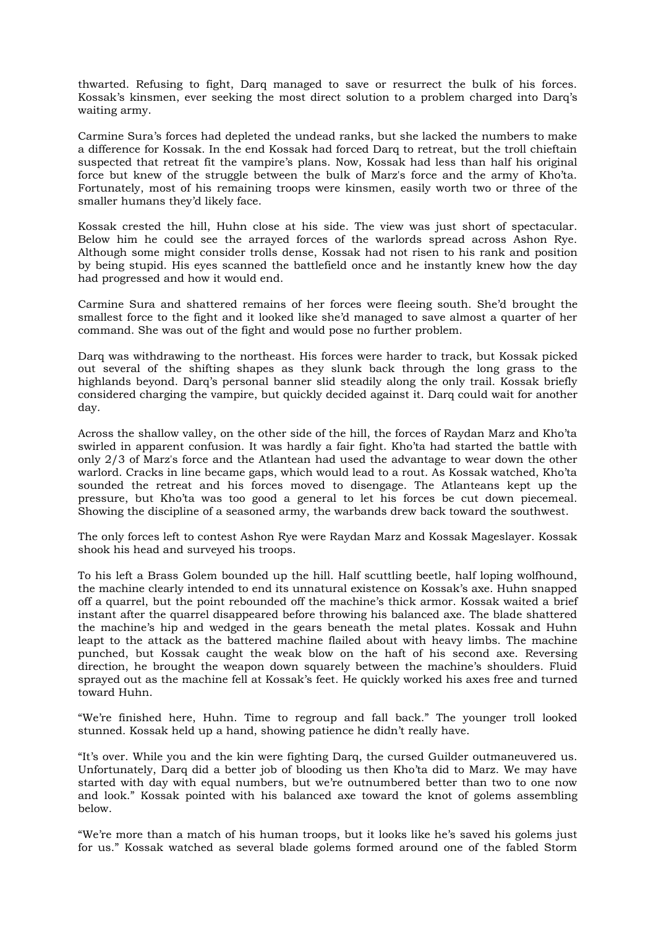thwarted. Refusing to fight, Darq managed to save or resurrect the bulk of his forces. Kossak's kinsmen, ever seeking the most direct solution to a problem charged into Darq's waiting army.

Carmine Sura's forces had depleted the undead ranks, but she lacked the numbers to make a difference for Kossak. In the end Kossak had forced Darq to retreat, but the troll chieftain suspected that retreat fit the vampire's plans. Now, Kossak had less than half his original force but knew of the struggle between the bulk of Marz's force and the army of Kho'ta. Fortunately, most of his remaining troops were kinsmen, easily worth two or three of the smaller humans they'd likely face.

Kossak crested the hill, Huhn close at his side. The view was just short of spectacular. Below him he could see the arrayed forces of the warlords spread across Ashon Rye. Although some might consider trolls dense, Kossak had not risen to his rank and position by being stupid. His eyes scanned the battlefield once and he instantly knew how the day had progressed and how it would end.

Carmine Sura and shattered remains of her forces were fleeing south. She'd brought the smallest force to the fight and it looked like she'd managed to save almost a quarter of her command. She was out of the fight and would pose no further problem.

Darq was withdrawing to the northeast. His forces were harder to track, but Kossak picked out several of the shifting shapes as they slunk back through the long grass to the highlands beyond. Darq's personal banner slid steadily along the only trail. Kossak briefly considered charging the vampire, but quickly decided against it. Darq could wait for another day.

Across the shallow valley, on the other side of the hill, the forces of Raydan Marz and Kho'ta swirled in apparent confusion. It was hardly a fair fight. Kho'ta had started the battle with only 2/3 of Marz's force and the Atlantean had used the advantage to wear down the other warlord. Cracks in line became gaps, which would lead to a rout. As Kossak watched, Kho'ta sounded the retreat and his forces moved to disengage. The Atlanteans kept up the pressure, but Kho'ta was too good a general to let his forces be cut down piecemeal. Showing the discipline of a seasoned army, the warbands drew back toward the southwest.

The only forces left to contest Ashon Rye were Raydan Marz and Kossak Mageslayer. Kossak shook his head and surveyed his troops.

To his left a Brass Golem bounded up the hill. Half scuttling beetle, half loping wolfhound, the machine clearly intended to end its unnatural existence on Kossak's axe. Huhn snapped off a quarrel, but the point rebounded off the machine's thick armor. Kossak waited a brief instant after the quarrel disappeared before throwing his balanced axe. The blade shattered the machine's hip and wedged in the gears beneath the metal plates. Kossak and Huhn leapt to the attack as the battered machine flailed about with heavy limbs. The machine punched, but Kossak caught the weak blow on the haft of his second axe. Reversing direction, he brought the weapon down squarely between the machine's shoulders. Fluid sprayed out as the machine fell at Kossak's feet. He quickly worked his axes free and turned toward Huhn.

"We're finished here, Huhn. Time to regroup and fall back." The younger troll looked stunned. Kossak held up a hand, showing patience he didn't really have.

"It's over. While you and the kin were fighting Darq, the cursed Guilder outmaneuvered us. Unfortunately, Darq did a better job of blooding us then Kho'ta did to Marz. We may have started with day with equal numbers, but we're outnumbered better than two to one now and look." Kossak pointed with his balanced axe toward the knot of golems assembling below.

"We're more than a match of his human troops, but it looks like he's saved his golems just for us." Kossak watched as several blade golems formed around one of the fabled Storm